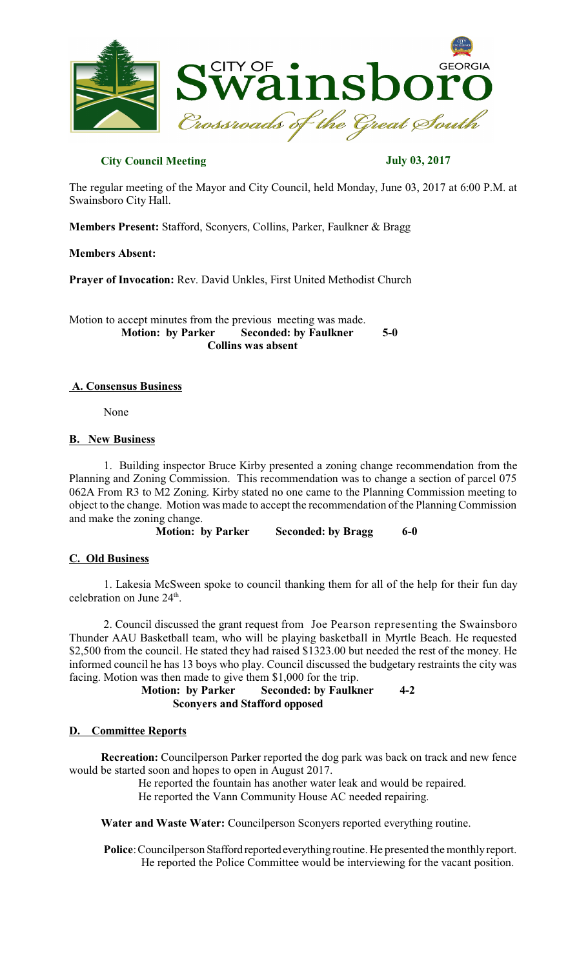

## **City Council Meeting July 03, 2017**

The regular meeting of the Mayor and City Council, held Monday, June 03, 2017 at 6:00 P.M. at Swainsboro City Hall.

**Members Present:** Stafford, Sconyers, Collins, Parker, Faulkner & Bragg

**Members Absent:**

**Prayer of Invocation:** Rev. David Unkles, First United Methodist Church

Motion to accept minutes from the previous meeting was made.<br>Motion: by Parker Seconded: by Faulkner  **Seconded: by Faulkner 5-0 Collins was absent**

## **A. Consensus Business**

None

### **B. New Business**

1. Building inspector Bruce Kirby presented a zoning change recommendation from the Planning and Zoning Commission. This recommendation was to change a section of parcel 075 062A From R3 to M2 Zoning. Kirby stated no one came to the Planning Commission meeting to object to the change. Motion was made to accept the recommendation of the PlanningCommission and make the zoning change.

 **Motion: by Parker Seconded: by Bragg 6-0** 

## **C. Old Business**

1. Lakesia McSween spoke to council thanking them for all of the help for their fun day celebration on June  $24<sup>th</sup>$ .

2. Council discussed the grant request from Joe Pearson representing the Swainsboro Thunder AAU Basketball team, who will be playing basketball in Myrtle Beach. He requested \$2,500 from the council. He stated they had raised \$1323.00 but needed the rest of the money. He informed council he has 13 boys who play. Council discussed the budgetary restraints the city was facing. Motion was then made to give them \$1,000 for the trip.

> **Motion: by Parker Seconded: by Faulkner 4-2 Sconyers and Stafford opposed**

### **D. Committee Reports**

**Recreation:** Councilperson Parker reported the dog park was back on track and new fence would be started soon and hopes to open in August 2017.

> He reported the fountain has another water leak and would be repaired. He reported the Vann Community House AC needed repairing.

**Water and Waste Water:** Councilperson Sconyers reported everything routine.

Police: Councilperson Stafford reported everything routine. He presented the monthly report. He reported the Police Committee would be interviewing for the vacant position.